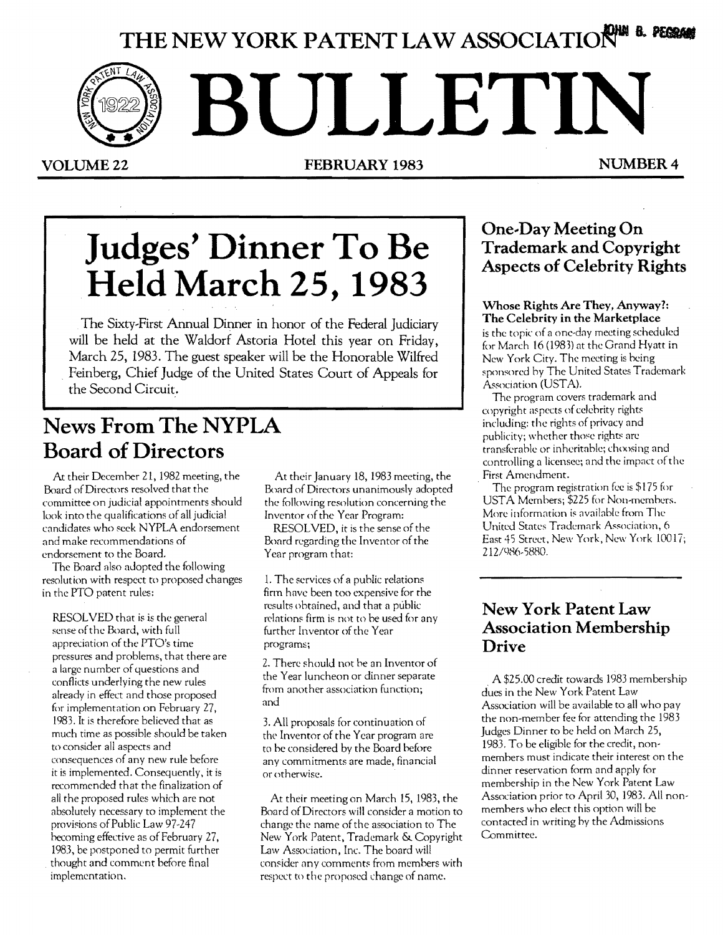# **THE NEW YORK PATENT LAW ASSOCIATION**

**BULLETIN** 

VOLUME 22 **FEBRUARY 1983** NUMBER 4

# **Judges' Dinner To Be Held March 25, 1983**

The Sixty~First Annual Dinner in honor of the Federal Judiciary will be held at the Waldorf Astoria Hotel this year on Friday, March 25, 1983. The guest speaker will be the Honorable Wilfred Feinberg, Chief Judge of the United States Court of Appeals for the Second Circuit.

## **News From The NYPLA Board of Directors**

At their December 21,1982 meeting, the Board of Directors resolved that the committee on judicial appointments should look into the qualifications of all judicial candidates who seek NYPLA endorsement and make recommendations of endorsement to the Board.

The Board also adopted the following resolution with respect to proposed changes in the PTO patent rules:

RESOLVED that is is the general sense ofthe Board, with full appreciation of the PTO's time pressures and problems, that there are a large number of questions and conflicts underlying the new rules already in effect and those proposed for implementation on February 27, 1983. It is therefore believed that as much time as possible should be taken to consider all aspects and consequences of any new rule before it is implemented. Consequently, it is recommended that the finalization of all the proposed rules which are not absolutely necessary to implement the provisions of Public Law 97-247 becoming effective as of February 27, 1983, be postponed to permit further . thought and comment before final implementation.

At their January 18, 1983 meeting, the Board of Directors unanimously adopted the following resolution concerning the Inventor of the Year Program:

RESOLVED, it is the sense of the Board regarding the Inventor of the Year program that:

1. The services of a puhlic relations firm have been too expensive for the results ohtained, and that a public rclations firm is not to be used for any further Inventor of the Year programs;

2. There should not he an Inventor of the Year luncheon or dinner separate from another association function; and

3. All proposals for continuation of the Inventor of the Year program are to he considered by the Board before any commitments are made, financial or otherwise.

At their meeting on March 15, 1983, the Board of Directors will consider a motion to change the name ofthe association to The New York Patent, Trademark & Copyright Law Association, Inc. The board will consider any comments from memhers with respect to the proposed change of name.

## **One-Day Meeting On Trademark and Copyright Aspects of Celebrity Rights**

## Whose Rights Are They, Anyway?: The Celebrity in the Marketplace

is the topic of a one-day meeting scheduled for March 16 (1983) at the Grand Hyatt in New York City. The meeting is being sponsored by The United States Trademark Association (USTA).

The program covers trademark and copyright aspects of celehrity rights including: the rights of privacy and publicity; whether those rights are transferahle or inheritahle; choosing and controlling a licensee; and the impact of the First Amendment.

The program registration fee is \$175 for USTA Memhers; \$225 for Non-memhers. More information is available from The United States Trademark Association, 6 East 45 Street, New York, New York 10017; 212/986-5880.

## **New York Patent Law Association Membership Drive**

. A \$25.00 credit towards 1983 membership dues in the New York Patent Law Association will be available to all who pay the non-member fee for attending the 1983 Judges Dinner to be held on March 25, 1983. To be eligible for the credit, nonmemhers must indicate their interest on the dinner reservation form and apply for membership in the New York Patent Law Association prior to April 30, 1983. All nonmembers who elect this option will be contacted in writing hy the Admissions Committee.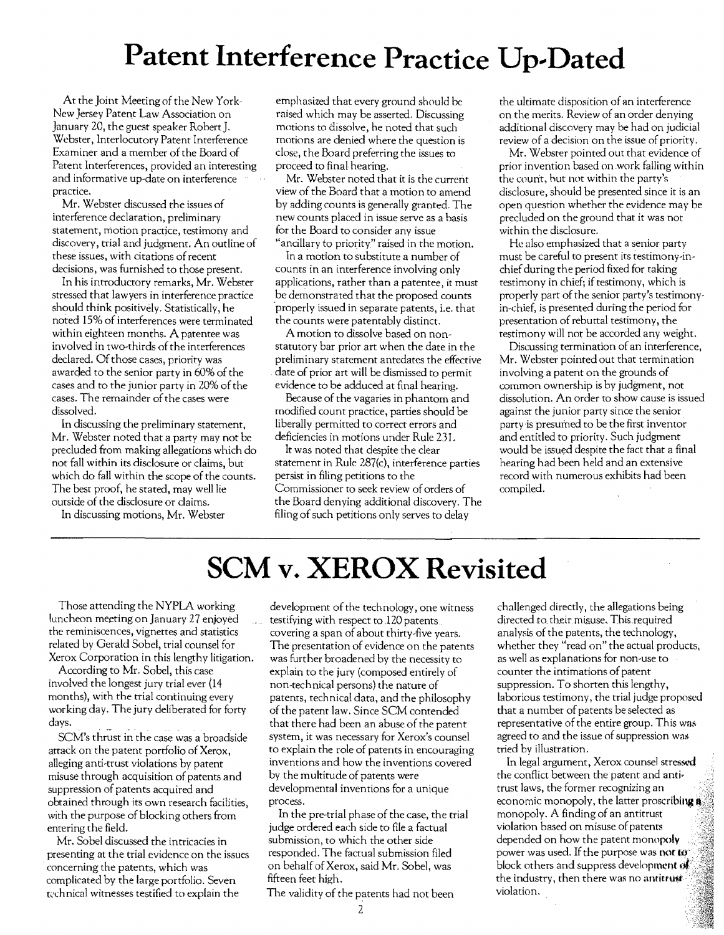# **Patent Interference Practice Up-Dated**

At the Joint Meeting of the New York-New Jersey Patent Law Association on January 20, the guest speaker Robert J. Webster, Interlocutory Patent Interference Examiner and a member of the Board of Patent Interferences, provided an interesting and informative up-date on interference practice.

Mr. Webster discussed the issues of interference declaration, preliminary statement, motion practice, testimony and discovery, trial and judgment. An outline of these issues, with citations of recent decisions, was furnished to those present.

In his introductory remarks, Mr. Webster stressed that lawyers in interference practice should think positively. Statistically, he noted 15% of interferences were terminated within eighteen months. A patentee was involved in two-thirds of the interferences declared. Of those cases, priority was awarded to the senior party in 60% of the cases and to the junior party in 20% of the cases. The remainder of the cases were dissolved.

In discussing the preliminary statement, Mr. Webster noted that a party may not be precluded from making allegations which do not fall within its disclosure or claims, but which do fall within the scope of the counts. The best proof, he stated, may well lie outside of the disclosure or claims.

In discussing motions, Mr. Webster

emphasized that every ground should be raised which may be asserted. Discussing motions to dissolve, he noted that such motions are denied where the question is close, the Board preferring the issues to proceed to final hearing.

Mr. Webster noted that it is the current view of the Board that a motion to amend by adding counts is generally granted. The new counts placed in issue serve as a basis for the Board to consider any issue "ancillary to priority" raised in the motion.

In a motion to substitute a number of counts in an interference involving only applications, rather than a patentee, it must be demonstrated that the proposed counts 'properly issued in separate patents, i.e. that the counts were patentably distinct.

A motion to dissolve based on nonstatutory bar prior art when the date in the preliminary statement antedates the effective date of prior art will be dismissed to permit evidence to be adduced at final hearing.

Because of the vagaries in phantom and modified count practice, parties should be liberally permitted to correct errors and deficiencies in motions under Rule 23l.

It was noted that despite the clear statement in Rule 287(c), interference parties persist in filing petitions to the Commissioner to seek review of orders of the Board denying additional discovery. The filing of such petitions only serves to delay

the ultimate disposition of an interference on the merits. Review of an order denying additional discovery may be had on judicial review of a decision on the issue of priority.

Mr. Webster pointed out that evidence of prior invention based on work falling within the count, hut not within the party's disclosure, should be presented since it is an open question whether the evidence may be precluded on the ground that it was not within the disclosure.

He also emphasized that a senior party must be careful to present its testimony-inchief during the period fixed for taking testimony in chief; if testimony, which is properly part of the senior party's testimonyin-chief, is presented during the period for presentation of rebuttal testimony, the testimony will not be accorded any weight.

Discussing termination of an interference, Mr. Webster pointed out that termination involving a patent on the grounds of common ownership is by judgment, not dissolution. An order to show cause is issued against the junior party since the senior party is presumed to be the first inventor and entitled to priority. Such judgment would be issued despite the fact that a final hearing had been held and an extensive record with numerous exhibits had been compiled.

# **SCM v. XEROX Revisited**

Those attending the NYPLA working luncheon meeting on January 27 enjoyed the reminiscences, vignettes and statistics related by Gerald Sobel, trial counsel for Xerox Corporation in this lengthy litigation.

According to Mr. Sobel, this case involved the longest jury trial ever (14 months), with the trial continuing every working day. The jury deliberated for forty days.

SCM's thrust in the case was a broadside attack on the patent portfolio of Xerox, alleging anti-trust violations by patent misuse through acquisition of patents and suppression of patents acquired and obtained through its own research facilities, with the purpose of blocking others from entering the field.

Mr. Sobel discussed the intricacies in presenting at the trial evidence on the issues concerning the patents, which was complicated by the large portfolio. Seven technical witnesses testified to explain the

development of the technology, one witness testifying with respect to,l20 patents covering a span of about thirty-five years. The presentation of evidence on the patents was further broadened by the necessity to explain to the jury (composed entirely of non-technical persons) the nature of patents, technical data, and the philosophy of the patent law. Since SCM contended that there had been an abuse of the patent system, it was necessary for Xerox's counsel to explain the role of patents in encouraging inventions and how the inventions covered by the multitude of patents were developmental inventions for a unique process.

In the pre-trial phase of the case, the trial judge ordered each side to file a factual submission, to which the other side responded. The factual submission filed on behalf ofXerox, said Mr. Sobel, was fifteen feet high.

The validity of the patents had not been

challenged directly, the allegations being directed to their misuse. This required analysis of the patents, the technology, whether they "read on" the actual products, as well as explanations for non-use to counter the intimations of patent suppression. To shorten this lengthy, laborious testimony, the trial judge proposed that a number of patents be selected as representative of the entire group. This was agreed to and the issue of suppression was tried by illustration.

In legal argument, Xerox counsel stressed . the conflict between the patent and anti· trust laws, the former recognizing an economic monopoly, the latter proscribing a monopoly. A finding of an antitrust violation based on misuse of patents depended on how the patent monopoly power was used. If the purpose was not **to** block others and suppress development of the industry, then there was no antitrust violation.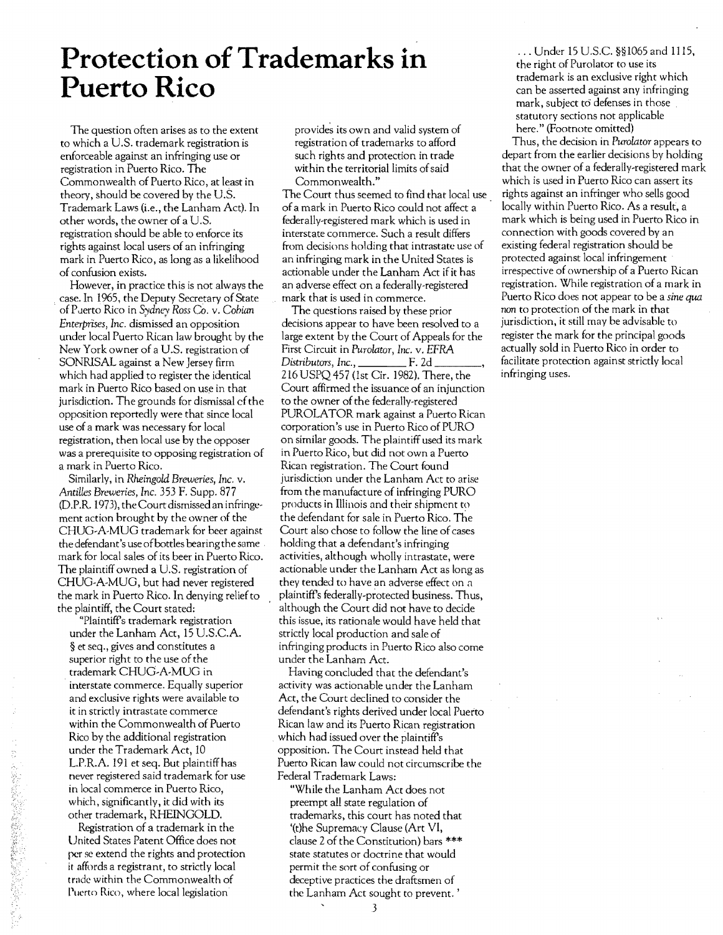## **Protection of Trademarks in** the right of Purolator to use its **Puerto Rico**

The question often arises as to the extent to which a U.S. trademark registration is enforceable against an infringing use or registration in Puerto Rico. The Commonwealth of Puerto Rico, at least in theory, should be covered by the U.S. Trademark Laws (i.e., the Lanham Act). In other words, the owner of a U.S. registration should be able to enforce its rights against local users of an infringing mark in Puerto Rico, as long as a likelihood of confusion exists.

However, in practice this is not always the case. In 1965, the Deputy Secretary of State . ofPclerto Rico in *Sydney Ross* Co. v. *Cobian Enterprises, Inc.* dismissed an opposition under local Puerto Rican law brought by the New York owner of a U.S. registration of SONRISAL against a New Jersey firm which had applied to register the identical mark in Puerto Rico based on use in that jurisdiction. The grounds for dismissal of the opposition reportedly were that since local use of a mark was necessary for local registration, then local use by the opposer was a prerequisite to opposing registration of a mark in Puerto Rico.

Similarly, in *Rheingold Breweries, Inc.* v. *Antilles Breweries, Inc.* 353 F. Supp. 877 (D.P.R. 1973), the Court dismissed an infringement action brought by the owner of the CHUG·A-MUG trademark for beer against the defendant's use ofbottles bearing the same mark for local sales of its beer in Puerto Rico. The plaintiff owned a U.S. registration of CHUG·A-MUG, but had never registered the mark in Puerto Rico. In denying relief to the plaintiff, the Court stated;

"Plaintiff's trademark registration under the Lanham Act, 15 U.S.CA. § et seq., gives and constitutes a superior right to the use of the trademark CHUG·A-MUG in interstate commerce. Equally superior and exclusive rights were available to it in strictly intrastate commerce within the Commonwealth of Puerto Rico by the additional registration under the Trademark Act, 10 L.P.R.A. 191 et seq. But plaintiff has never registered said trademark for use in local commerce in Puerto Rico, which, significantly, it did with its other trademark, RHEINGOLD.

Registration of a trademark in the United States Patent Office does not per se extend the rights and protection if affords a registrant, to strictly local trade within the Commonwealth of Puerto Rico, where local legislation

「大学のことを経営のある」という

provides its own and valid system of registration of trademarks to afford such rights and protection in trade within the territorial limits of said Commonwealth."

The Court thus seemed to find that local use ofa mark in Puerto Rico could not affect a federally-registered mark which is used in interstate commerce. Such a result differs from decisions holding that intrastate use of an infringing mark in the United States is actionable under the Lanham Act if it has an adverse effect on a federally-registered mark that is used in commerce .

The questions raised by these prior decisions appear to have been resolved to a large extent by the Court of Appeals for the First Circuit in *Purolator, Inc.* v. *EFRA Distributors, Inc.,* F. 2d \_\_\_\_, 216 USPQ 457 (1st Cir. 1982). There, the Court affirmed the issuance of an injunction to the owner of the federally-registered PUROLATOR mark against a Puerto Rican corporation's use in Puerto Rico of PURO on similar goods. The plaintiff used its mark in Puerto Rico, but did not own a Puerto Rican registration. The Court found jurisdiction under the Lanham Act to arise from the manufacture of infringing PURO products in Illinois and their shipment to the defendant for sale in Puerto Rico. The Court also chose to follow the line of cases holding that a defendant's infringing activities, although wholly intrastate, were actionable under the Lanham Act as long as they tended to have an adverse effect on a plaintiff's federally.protected business. Thus, although the Court did not have to decide this issue, its rationale would have held that strictly local production and sale of infringing products in Puerto Rico also come under the Lanham Act.

Having concluded that the defendant's activity was actionable under the Lanham Act, the Court declined to consider the defendant's rights derived under local Puerto Rican law and its Puerto Rican registration which had issued over the plaintiff's opposition. The Court instead held that Puerto Rican law could not circumscribe the Federal Trademark Laws:

"While the Lanham Act does not preempt all state regulation of trademarks, this court has noted that '(t}he Supremacy Clause (Art VI, clause 2 of the Constitution) bars \*\*\* state statutes or doctrine that would permit the sort of confusing or deceptive practices the draftsmen of the Lanham Act sought to prevent. '

trademark is an exclusive right which can be asserted against any infringing mark, subject to defenses in those. statutory sections not applicable here." (Footnote omitted)

Thus, the decision in *Purolator* appears to depart from the earlier decisions by holding that the owner of a federally-registered mark which is used in Puerto Rico can assert its rights against an infringer who sells good locally within Puerto Rico. As a result, a mark which is being used in Puerto Rico in connection with goods covered by an existing federal registration should be protected against local infringement irrespective of ownership of a Puerto Rican registration. While registration of a mark in Puerto Rico does not appear to be a *sine qua* non to protection of the mark in that jurisdiction, it still may be advisable to register the mark for the principal goods actually sold in Puerto Rico in order to facilitate protection against strictly local infringing uses.

3